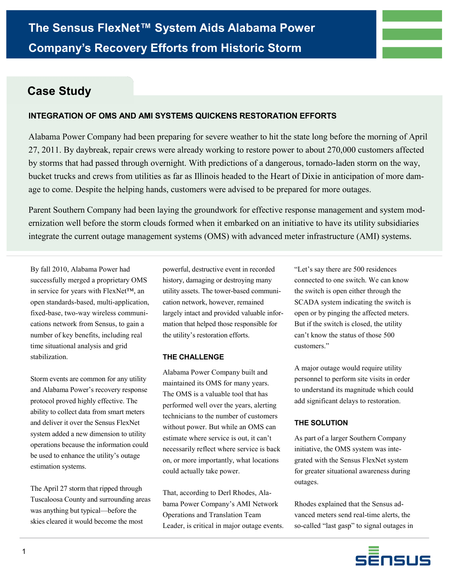

# **INTEGRATION OF OMS AND AMI SYSTEMS QUICKENS RESTORATION EFFORTS**

Alabama Power Company had been preparing for severe weather to hit the state long before the morning of April 27, 2011. By daybreak, repair crews were already working to restore power to about 270,000 customers affected by storms that had passed through overnight. With predictions of a dangerous, tornado-laden storm on the way, bucket trucks and crews from utilities as far as Illinois headed to the Heart of Dixie in anticipation of more damage to come. Despite the helping hands, customers were advised to be prepared for more outages.

Parent Southern Company had been laying the groundwork for effective response management and system modernization well before the storm clouds formed when it embarked on an initiative to have its utility subsidiaries integrate the current outage management systems (OMS) with advanced meter infrastructure (AMI) systems.

By fall 2010, Alabama Power had successfully merged a proprietary OMS in service for years with FlexNet™, an open standards-based, multi-application, fixed-base, two-way wireless communications network from Sensus, to gain a number of key benefits, including real time situational analysis and grid stabilization.

Storm events are common for any utility and Alabama Power's recovery response protocol proved highly effective. The ability to collect data from smart meters and deliver it over the Sensus FlexNet system added a new dimension to utility operations because the information could be used to enhance the utility's outage estimation systems.

The April 27 storm that ripped through Tuscaloosa County and surrounding areas was anything but typical—before the skies cleared it would become the most

powerful, destructive event in recorded history, damaging or destroying many utility assets. The tower-based communication network, however, remained largely intact and provided valuable information that helped those responsible for the utility's restoration efforts.

## **THE CHALLENGE**

Alabama Power Company built and maintained its OMS for many years. The OMS is a valuable tool that has performed well over the years, alerting technicians to the number of customers without power. But while an OMS can estimate where service is out, it can't necessarily reflect where service is back on, or more importantly, what locations could actually take power.

That, according to Derl Rhodes, Alabama Power Company's AMI Network Operations and Translation Team Leader, is critical in major outage events. "Let's say there are 500 residences connected to one switch. We can know the switch is open either through the SCADA system indicating the switch is open or by pinging the affected meters. But if the switch is closed, the utility can't know the status of those 500 customers."

A major outage would require utility personnel to perform site visits in order to understand its magnitude which could add significant delays to restoration.

## **THE SOLUTION**

As part of a larger Southern Company initiative, the OMS system was integrated with the Sensus FlexNet system for greater situational awareness during outages.

Rhodes explained that the Sensus advanced meters send real-time alerts, the so-called "last gasp" to signal outages in